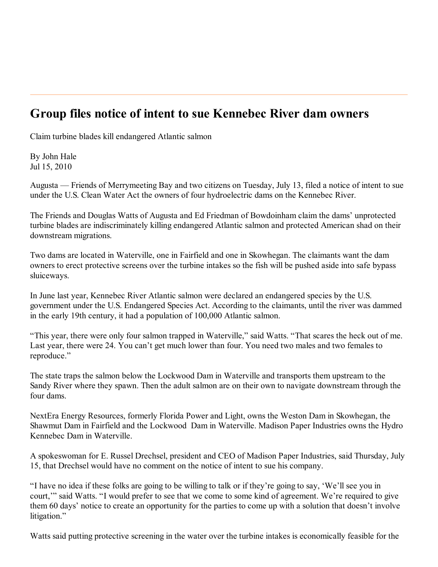## **Group files notice of intent to sue Kennebec River dam owners**

Claim turbine blades kill endangered Atlantic salmon

By John Hale Jul 15, 2010

Augusta — Friends of Merrymeeting Bay and two citizens on Tuesday, July 13, filed a notice of intent to sue under the U.S. Clean Water Act the owners of four hydroelectric dams on the Kennebec River.

The Friends and Douglas Watts of Augusta and Ed Friedman of Bowdoinham claim the dams' unprotected turbine blades are indiscriminately killing endangered Atlantic salmon and protected American shad on their downstream migrations.

Two dams are located in Waterville, one in Fairfield and one in Skowhegan. The claimants want the dam owners to erect protective screens over the turbine intakes so the fish will be pushed aside into safe bypass sluiceways.

In June last year, Kennebec River Atlantic salmon were declared an endangered species by the U.S. government under the U.S. Endangered Species Act. According to the claimants, until the river was dammed in the early 19th century, it had a population of 100,000 Atlantic salmon.

"This year, there were only four salmon trapped in Waterville," said Watts. "That scares the heck out of me. Last year, there were 24. You can't get much lower than four. You need two males and two females to reproduce."

The state traps the salmon below the Lockwood Dam in Waterville and transports them upstream to the Sandy River where they spawn. Then the adult salmon are on their own to navigate downstream through the four dams.

NextEra Energy Resources, formerly Florida Power and Light, owns the Weston Dam in Skowhegan, the Shawmut Dam in Fairfield and the Lockwood Dam in Waterville. Madison Paper Industries owns the Hydro Kennebec Dam in Waterville.

A spokeswoman for E. Russel Drechsel, president and CEO of Madison Paper Industries, said Thursday, July 15, that Drechsel would have no comment on the notice of intent to sue his company.

"I have no idea if these folks are going to be willing to talk or if they're going to say, 'We'll see you in court,'" said Watts. "I would prefer to see that we come to some kind of agreement. We're required to give them 60 days' notice to create an opportunity for the parties to come up with a solution that doesn't involve litigation."

Watts said putting protective screening in the water over the turbine intakes is economically feasible for the